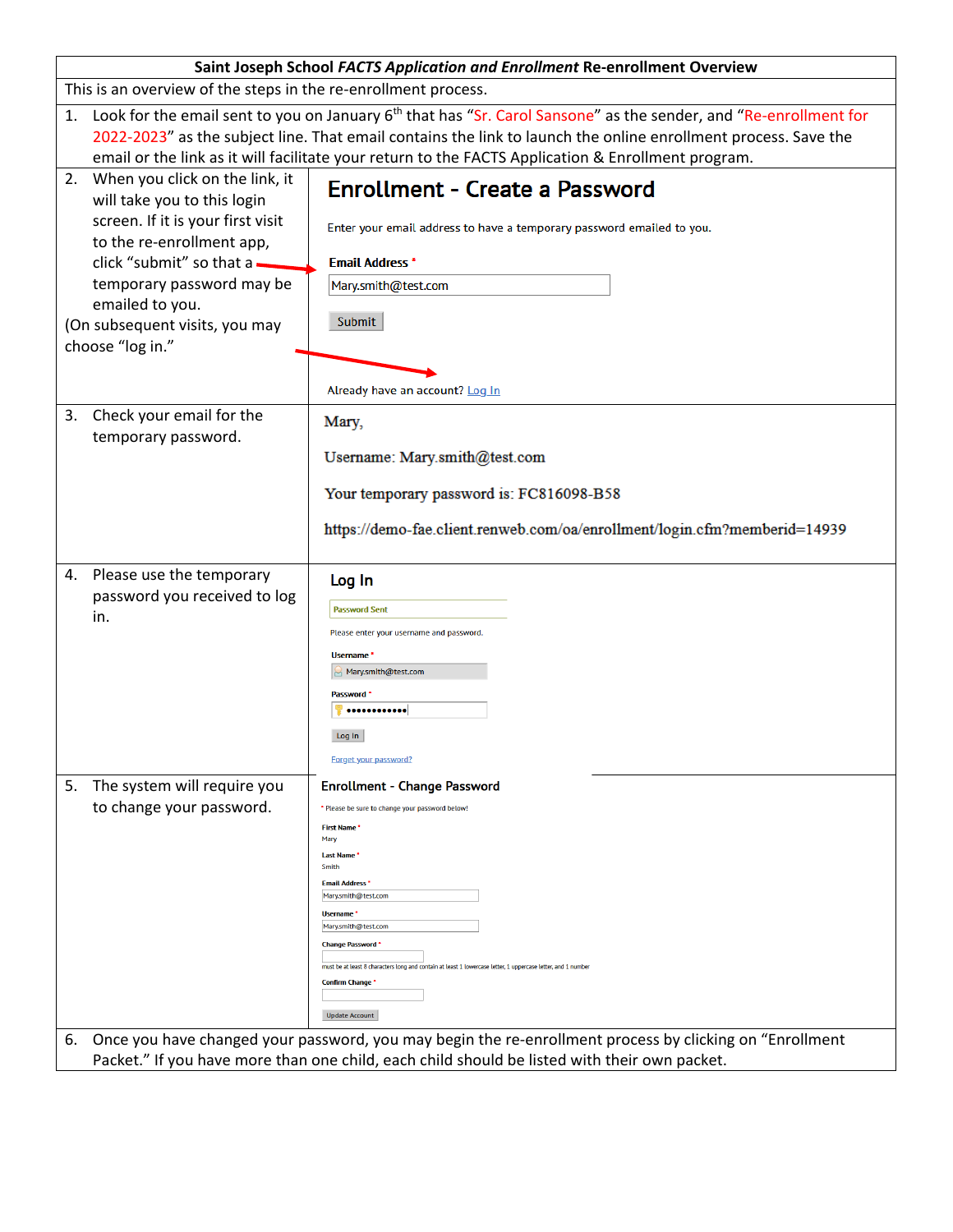| Saint Joseph School FACTS Application and Enrollment Re-enrollment Overview                               |                                                                                                                                 |                                                                                                                |  |  |  |  |
|-----------------------------------------------------------------------------------------------------------|---------------------------------------------------------------------------------------------------------------------------------|----------------------------------------------------------------------------------------------------------------|--|--|--|--|
| This is an overview of the steps in the re-enrollment process.                                            |                                                                                                                                 |                                                                                                                |  |  |  |  |
|                                                                                                           | 1. Look for the email sent to you on January 6 <sup>th</sup> that has "Sr. Carol Sansone" as the sender, and "Re-enrollment for |                                                                                                                |  |  |  |  |
|                                                                                                           |                                                                                                                                 | 2022-2023" as the subject line. That email contains the link to launch the online enrollment process. Save the |  |  |  |  |
|                                                                                                           | email or the link as it will facilitate your return to the FACTS Application & Enrollment program.                              |                                                                                                                |  |  |  |  |
| 2. When you click on the link, it<br><b>Enrollment - Create a Password</b><br>will take you to this login |                                                                                                                                 |                                                                                                                |  |  |  |  |
|                                                                                                           | screen. If it is your first visit                                                                                               | Enter your email address to have a temporary password emailed to you.                                          |  |  |  |  |
|                                                                                                           | to the re-enrollment app,                                                                                                       |                                                                                                                |  |  |  |  |
|                                                                                                           | click "submit" so that a -                                                                                                      | <b>Email Address *</b>                                                                                         |  |  |  |  |
|                                                                                                           | temporary password may be                                                                                                       | Mary.smith@test.com                                                                                            |  |  |  |  |
|                                                                                                           | emailed to you.<br>(On subsequent visits, you may                                                                               | Submit                                                                                                         |  |  |  |  |
|                                                                                                           | choose "log in."                                                                                                                |                                                                                                                |  |  |  |  |
|                                                                                                           |                                                                                                                                 |                                                                                                                |  |  |  |  |
|                                                                                                           |                                                                                                                                 | Already have an account? Log In                                                                                |  |  |  |  |
|                                                                                                           | 3. Check your email for the                                                                                                     | Mary,                                                                                                          |  |  |  |  |
|                                                                                                           | temporary password.                                                                                                             |                                                                                                                |  |  |  |  |
|                                                                                                           |                                                                                                                                 | Username: Mary.smith@test.com                                                                                  |  |  |  |  |
|                                                                                                           |                                                                                                                                 | Your temporary password is: FC816098-B58                                                                       |  |  |  |  |
|                                                                                                           |                                                                                                                                 |                                                                                                                |  |  |  |  |
|                                                                                                           |                                                                                                                                 | https://demo-fae.client.renweb.com/oa/enrollment/login.cfm?memberid=14939                                      |  |  |  |  |
|                                                                                                           | 4. Please use the temporary                                                                                                     | Log In                                                                                                         |  |  |  |  |
|                                                                                                           | password you received to log                                                                                                    | <b>Password Sent</b>                                                                                           |  |  |  |  |
|                                                                                                           | in.                                                                                                                             | Please enter your username and password.                                                                       |  |  |  |  |
|                                                                                                           |                                                                                                                                 | <b>Username</b>                                                                                                |  |  |  |  |
|                                                                                                           |                                                                                                                                 | Mary.smith@test.com                                                                                            |  |  |  |  |
|                                                                                                           |                                                                                                                                 | Password '                                                                                                     |  |  |  |  |
|                                                                                                           |                                                                                                                                 |                                                                                                                |  |  |  |  |
|                                                                                                           |                                                                                                                                 | Log In                                                                                                         |  |  |  |  |
|                                                                                                           |                                                                                                                                 | Forget your password?                                                                                          |  |  |  |  |
| 5.                                                                                                        | The system will require you                                                                                                     | <b>Enrollment - Change Password</b>                                                                            |  |  |  |  |
|                                                                                                           | to change your password.                                                                                                        | * Please be sure to change your password below!                                                                |  |  |  |  |
|                                                                                                           |                                                                                                                                 | <b>First Name</b><br>Mary                                                                                      |  |  |  |  |
|                                                                                                           |                                                                                                                                 | <b>Last Name</b><br><b>Smith</b>                                                                               |  |  |  |  |
|                                                                                                           |                                                                                                                                 | <b>Email Address</b><br>Mary.smith@test.com                                                                    |  |  |  |  |
|                                                                                                           |                                                                                                                                 | Username <sup>*</sup>                                                                                          |  |  |  |  |
|                                                                                                           |                                                                                                                                 | Mary.smith@test.com<br><b>Change Password</b>                                                                  |  |  |  |  |
|                                                                                                           |                                                                                                                                 | must be at least 8 characters long and contain at least 1 lowercase letter, 1 uppercase letter, and 1 numbe    |  |  |  |  |
|                                                                                                           |                                                                                                                                 | <b>Confirm Change</b>                                                                                          |  |  |  |  |
|                                                                                                           |                                                                                                                                 | <b>Update Account</b>                                                                                          |  |  |  |  |
| 6.                                                                                                        |                                                                                                                                 | Once you have changed your password, you may begin the re-enrollment process by clicking on "Enrollment"       |  |  |  |  |
|                                                                                                           | Packet." If you have more than one child, each child should be listed with their own packet.                                    |                                                                                                                |  |  |  |  |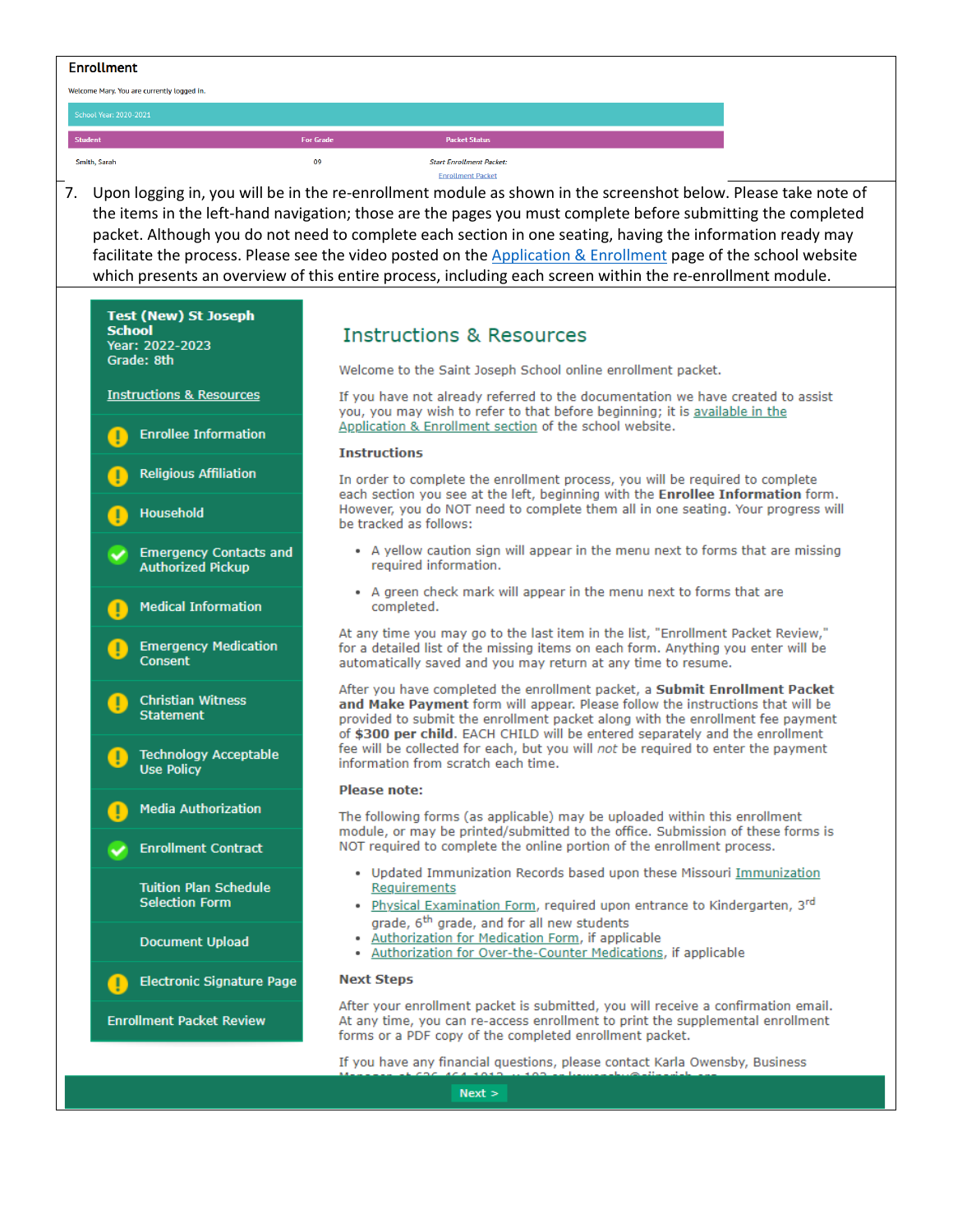# **Enrollment**

Welcome Mary. You are currently logged in.

Smith, Sarah

**Packet Status** 

#### **Start Enrollment Packet Enrollment Packet**

7. Upon logging in, you will be in the re-enrollment module as shown in the screenshot below. Please take note of the items in the left-hand navigation; those are the pages you must complete before submitting the completed packet. Although you do not need to complete each section in one seating, having the information ready may facilitate the process. Please see the video posted on the Application & Enrollment page of the school website which presents an overview of this entire process, including each screen within the re-enrollment module.



# **Instructions & Resources**

Welcome to the Saint Joseph School online enrollment packet.

If you have not already referred to the documentation we have created to assist you, you may wish to refer to that before beginning; it is available in the Application & Enrollment section of the school website.

## **Instructions**

 $09$ 

In order to complete the enrollment process, you will be required to complete each section you see at the left, beginning with the Enrollee Information form. However, you do NOT need to complete them all in one seating. Your progress will be tracked as follows:

- . A yellow caution sign will appear in the menu next to forms that are missing required information.
- A green check mark will appear in the menu next to forms that are completed.

At any time you may go to the last item in the list, "Enrollment Packet Review," for a detailed list of the missing items on each form. Anything you enter will be automatically saved and you may return at any time to resume.

After you have completed the enrollment packet, a Submit Enrollment Packet and Make Payment form will appear. Please follow the instructions that will be provided to submit the enrollment packet along with the enrollment fee payment of \$300 per child. EACH CHILD will be entered separately and the enrollment fee will be collected for each, but you will not be required to enter the payment information from scratch each time.

### **Please note:**

The following forms (as applicable) may be uploaded within this enrollment module, or may be printed/submitted to the office. Submission of these forms is NOT required to complete the online portion of the enrollment process.

- . Updated Immunization Records based upon these Missouri Immunization Requirements
- Physical Examination Form, required upon entrance to Kindergarten, 3rd grade, 6<sup>th</sup> grade, and for all new students
- Authorization for Medication Form, if applicable
- Authorization for Over-the-Counter Medications, if applicable

### **Next Steps**

After your enrollment packet is submitted, you will receive a confirmation email. At any time, you can re-access enrollment to print the supplemental enrollment forms or a PDF copy of the completed enrollment packet.

If you have any financial questions, please contact Karla Owensby, Business

 $Next$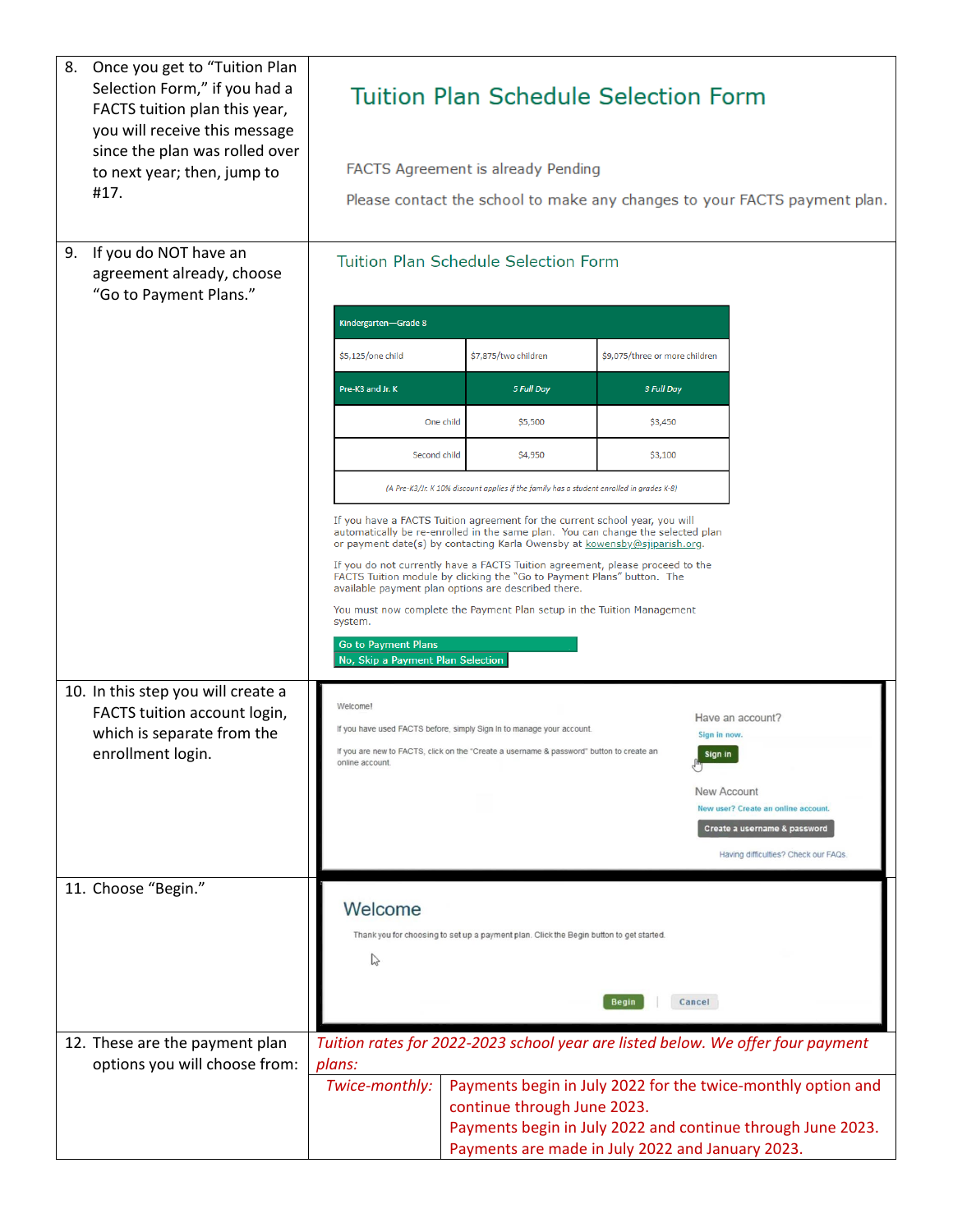| 8. | Once you get to "Tuition Plan<br>Selection Form," if you had a<br>FACTS tuition plan this year,<br>you will receive this message<br>since the plan was rolled over<br>to next year; then, jump to<br>#17. | <b>Tuition Plan Schedule Selection Form</b><br>FACTS Agreement is already Pending<br>Please contact the school to make any changes to your FACTS payment plan.                                                                                                                                                                                                                                                                                                                                                                                                                                                        |           |                                                                                                                                                                   |                                |                                               |                                                                                                                                 |
|----|-----------------------------------------------------------------------------------------------------------------------------------------------------------------------------------------------------------|-----------------------------------------------------------------------------------------------------------------------------------------------------------------------------------------------------------------------------------------------------------------------------------------------------------------------------------------------------------------------------------------------------------------------------------------------------------------------------------------------------------------------------------------------------------------------------------------------------------------------|-----------|-------------------------------------------------------------------------------------------------------------------------------------------------------------------|--------------------------------|-----------------------------------------------|---------------------------------------------------------------------------------------------------------------------------------|
| 9. | If you do NOT have an<br>agreement already, choose<br>"Go to Payment Plans."                                                                                                                              | <b>Tuition Plan Schedule Selection Form</b>                                                                                                                                                                                                                                                                                                                                                                                                                                                                                                                                                                           |           |                                                                                                                                                                   |                                |                                               |                                                                                                                                 |
|    |                                                                                                                                                                                                           | Kindergarten-Grade 8                                                                                                                                                                                                                                                                                                                                                                                                                                                                                                                                                                                                  |           |                                                                                                                                                                   |                                |                                               |                                                                                                                                 |
|    |                                                                                                                                                                                                           | \$5,125/one child                                                                                                                                                                                                                                                                                                                                                                                                                                                                                                                                                                                                     |           | \$7,875/two children                                                                                                                                              | \$9,075/three or more children |                                               |                                                                                                                                 |
|    |                                                                                                                                                                                                           | Pre-K3 and Jr. K                                                                                                                                                                                                                                                                                                                                                                                                                                                                                                                                                                                                      |           | 5 Full Day                                                                                                                                                        | 3 Full Day                     |                                               |                                                                                                                                 |
|    |                                                                                                                                                                                                           |                                                                                                                                                                                                                                                                                                                                                                                                                                                                                                                                                                                                                       | One child | \$5,500                                                                                                                                                           | \$3,450                        |                                               |                                                                                                                                 |
|    |                                                                                                                                                                                                           | Second child                                                                                                                                                                                                                                                                                                                                                                                                                                                                                                                                                                                                          |           | \$4,950                                                                                                                                                           | \$3,100                        |                                               |                                                                                                                                 |
|    |                                                                                                                                                                                                           | (A Pre-K3/Jr. K 10% discount applies if the family has a student enrolled in grades K-8)                                                                                                                                                                                                                                                                                                                                                                                                                                                                                                                              |           |                                                                                                                                                                   |                                |                                               |                                                                                                                                 |
|    |                                                                                                                                                                                                           | If you have a FACTS Tuition agreement for the current school year, you will<br>automatically be re-enrolled in the same plan. You can change the selected plan<br>or payment date(s) by contacting Karla Owensby at kowensby@sjiparish.org.<br>If you do not currently have a FACTS Tuition agreement, please proceed to the<br>FACTS Tuition module by clicking the "Go to Payment Plans" button. The<br>available payment plan options are described there.<br>You must now complete the Payment Plan setup in the Tuition Management<br>system.<br><b>Go to Payment Plans</b><br>No, Skip a Payment Plan Selection |           |                                                                                                                                                                   |                                |                                               |                                                                                                                                 |
|    | 10. In this step you will create a<br>FACTS tuition account login,<br>which is separate from the<br>enrollment login.                                                                                     | Welcome!<br>online account.                                                                                                                                                                                                                                                                                                                                                                                                                                                                                                                                                                                           |           | If you have used FACTS before, simply Sign In to manage your account.<br>If you are new to FACTS, click on the "Create a username & password" button to create an |                                | Sign in now.<br>Sign in<br><b>New Account</b> | Have an account?<br>New user? Create an online account.<br>Create a username & password<br>Having difficulties? Check our FAQs. |
|    | 11. Choose "Begin."                                                                                                                                                                                       | Welcome<br>Thank you for choosing to set up a payment plan. Click the Begin button to get started.<br>↳<br><b>Begin</b><br>Cancel                                                                                                                                                                                                                                                                                                                                                                                                                                                                                     |           |                                                                                                                                                                   |                                |                                               |                                                                                                                                 |
|    | 12. These are the payment plan                                                                                                                                                                            |                                                                                                                                                                                                                                                                                                                                                                                                                                                                                                                                                                                                                       |           |                                                                                                                                                                   |                                |                                               | Tuition rates for 2022-2023 school year are listed below. We offer four payment                                                 |
|    | options you will choose from:                                                                                                                                                                             | plans:<br>Twice-monthly:                                                                                                                                                                                                                                                                                                                                                                                                                                                                                                                                                                                              |           | continue through June 2023.<br>Payments are made in July 2022 and January 2023.                                                                                   |                                |                                               | Payments begin in July 2022 for the twice-monthly option and<br>Payments begin in July 2022 and continue through June 2023.     |